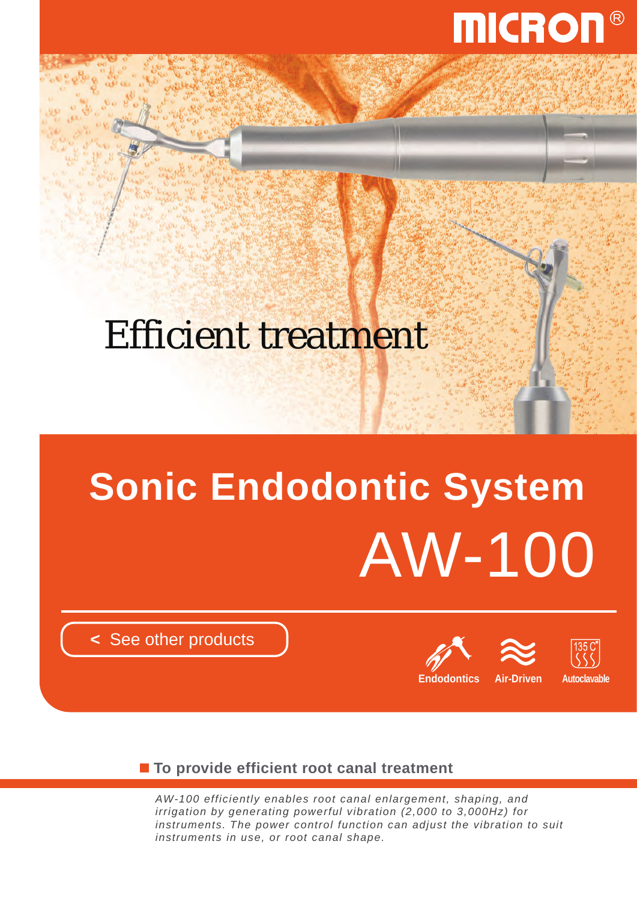

## Efficient treatment

# AW-100 **Sonic Endodontic System**

**<** [See other products](http://www.micdent.com/new_page/NeoM2/brochure.html)





■ To provide efficient root canal treatment

*AW-100 efficiently enables root canal enlargement, shaping, and irrigation by generating powerful vibration (2,000 to 3,000Hz) for instruments. The power control function can adjust the vibration to suit instruments in use, or root canal shape.*